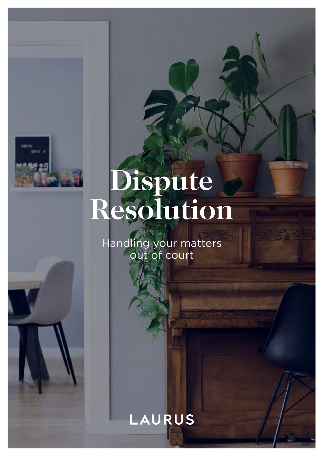

# **Dispute Resolution**

Handling your matters out of court

# LAURUS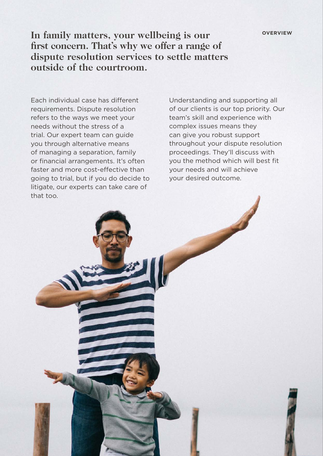In family matters, your wellbeing is our **DERVIEW first concern. That's why we offer a range of dispute resolution services to settle matters outside of the courtroom.**

Each individual case has different requirements. Dispute resolution refers to the ways we meet your needs without the stress of a trial. Our expert team can guide you through alternative means of managing a separation, family or financial arrangements. It's often faster and more cost-effective than going to trial, but if you do decide to litigate, our experts can take care of that too.

Understanding and supporting all of our clients is our top priority. Our team's skill and experience with complex issues means they can give you robust support throughout your dispute resolution proceedings. They'll discuss with you the method which will best fit your needs and will achieve your desired outcome.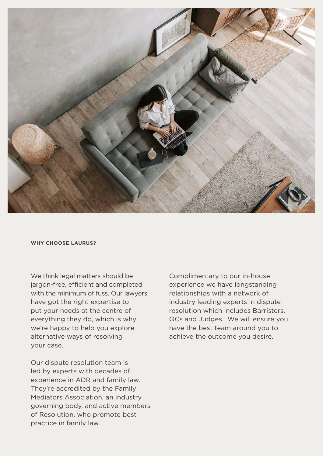

#### **WHY CHOOSE LAURUS?**

We think legal matters should be jargon-free, efficient and completed with the minimum of fuss. Our lawyers have got the right expertise to put your needs at the centre of everything they do, which is why we're happy to help you explore alternative ways of resolving your case.

Our dispute resolution team is led by experts with decades of experience in ADR and family law. They're accredited by the Family Mediators Association, an industry governing body, and active members of Resolution, who promote best practice in family law.

Complimentary to our in-house experience we have longstanding relationships with a network of industry leading experts in dispute resolution which includes Barristers, QCs and Judges. We will ensure you have the best team around you to achieve the outcome you desire.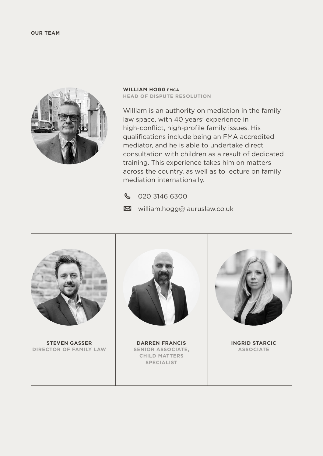

**WILLIAM HOGG FMCA HEAD OF DISPUTE RESOLUTION**

William is an authority on mediation in the family law space, with 40 years' experience in high-conflict, high-profile family issues. His qualifications include being an FMA accredited mediator, and he is able to undertake direct consultation with children as a result of dedicated training. This experience takes him on matters across the country, as well as to lecture on family mediation internationally.

- **& 020 3146 6300**
- **⊠** william.hogg@lauruslaw.co.uk



**STEVEN GASSER DIRECTOR OF FAMILY LAW**



**DARREN FRANCIS SENIOR ASSOCIATE, CHILD MATTERS SPECIALIST**



**INGRID STARCIC ASSOCIATE**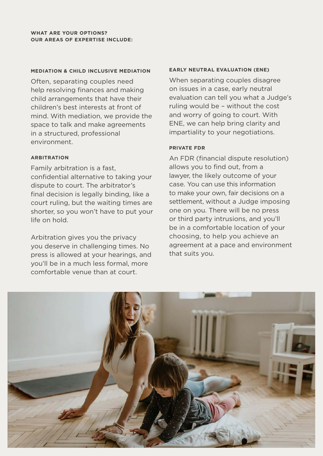### **MEDIATION & CHILD INCLUSIVE MEDIATION**

Often, separating couples need help resolving finances and making child arrangements that have their children's best interests at front of mind. With mediation, we provide the space to talk and make agreements in a structured, professional environment.

# **ARBITRATION**

Family arbitration is a fast, confidential alternative to taking your dispute to court. The arbitrator's final decision is legally binding, like a court ruling, but the waiting times are shorter, so you won't have to put your life on hold.

Arbitration gives you the privacy you deserve in challenging times. No press is allowed at your hearings, and you'll be in a much less formal, more comfortable venue than at court.

#### **EARLY NEUTRAL EVALUATION (ENE)**

When separating couples disagree on issues in a case, early neutral evaluation can tell you what a Judge's ruling would be – without the cost and worry of going to court. With ENE, we can help bring clarity and impartiality to your negotiations.

# **PRIVATE FDR**

An FDR (financial dispute resolution) allows you to find out, from a lawyer, the likely outcome of your case. You can use this information to make your own, fair decisions on a settlement, without a Judge imposing one on you. There will be no press or third party intrusions, and you'll be in a comfortable location of your choosing, to help you achieve an agreement at a pace and environment that suits you.

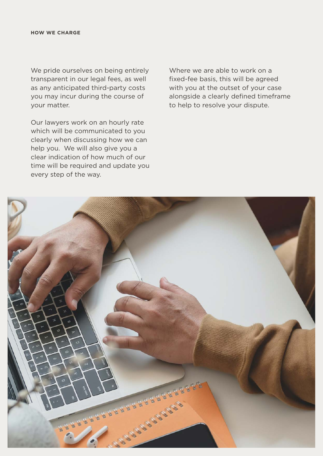We pride ourselves on being entirely transparent in our legal fees, as well as any anticipated third-party costs you may incur during the course of your matter.

Our lawyers work on an hourly rate which will be communicated to you clearly when discussing how we can help you. We will also give you a clear indication of how much of our time will be required and update you every step of the way.

Where we are able to work on a fixed-fee basis, this will be agreed with you at the outset of your case alongside a clearly defined timeframe to help to resolve your dispute.